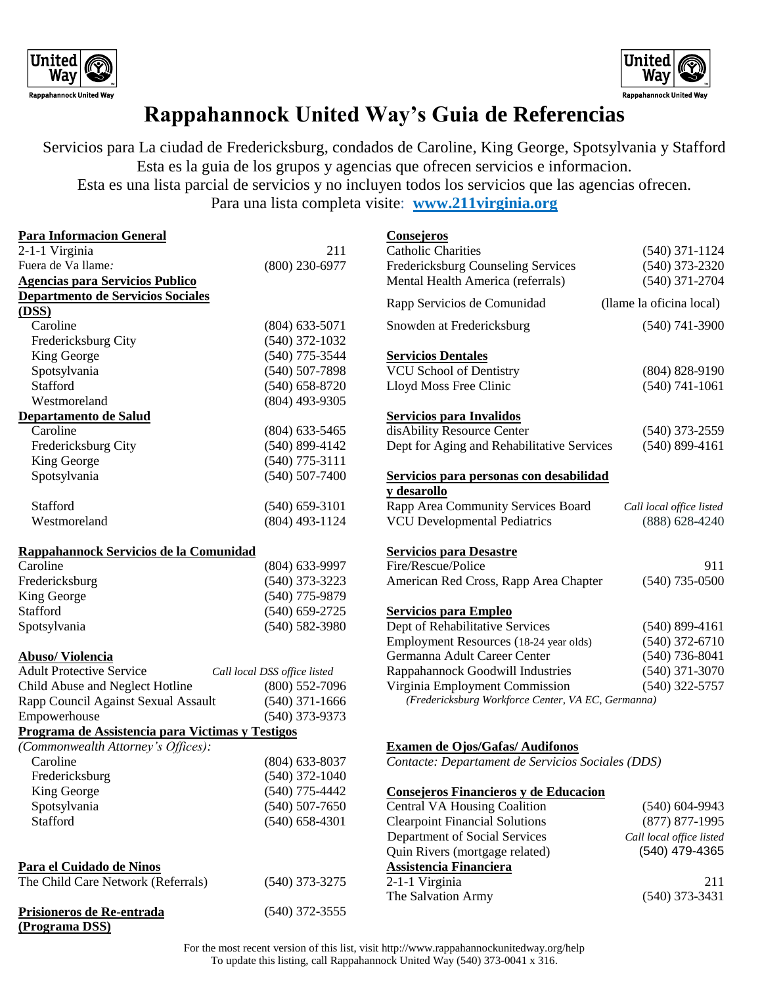



## **Rappahannock United Way's Guia de Referencias**

Servicios para La ciudad de Fredericksburg, condados de Caroline, King George, Spotsylvania y Stafford Esta es la guia de los grupos y agencias que ofrecen servicios e informacion. Esta es una lista parcial de servicios y no incluyen todos los servicios que las agencias ofrecen.

Para una lista completa visite: **www.211virginia.org**

| <b>Para Informacion General</b>                  |                              | <b>Consejeros</b>                                  |                          |
|--------------------------------------------------|------------------------------|----------------------------------------------------|--------------------------|
| 2-1-1 Virginia                                   | 211                          | <b>Catholic Charities</b>                          | $(540)$ 371-1124         |
| Fuera de Va llame:                               | $(800)$ 230-6977             | Fredericksburg Counseling Services                 | $(540)$ 373-2320         |
| <b>Agencias para Servicios Publico</b>           |                              | Mental Health America (referrals)                  | $(540)$ 371-2704         |
| Departmento de Servicios Sociales                |                              | Rapp Servicios de Comunidad                        | (llame la oficina local) |
| (DSS)                                            |                              |                                                    |                          |
| Caroline                                         | $(804)$ 633-5071             | Snowden at Fredericksburg                          | $(540)$ 741-3900         |
| Fredericksburg City                              | $(540)$ 372-1032             |                                                    |                          |
| King George                                      | $(540)$ 775-3544             | <b>Servicios Dentales</b>                          |                          |
| Spotsylvania                                     | $(540)$ 507-7898             | <b>VCU School of Dentistry</b>                     | $(804) 828 - 9190$       |
| Stafford                                         | $(540) 658 - 8720$           | Lloyd Moss Free Clinic                             | $(540)$ 741-1061         |
| Westmoreland                                     | $(804)$ 493-9305             |                                                    |                          |
| Departamento de Salud                            |                              | <b>Servicios para Invalidos</b>                    |                          |
| Caroline                                         | $(804)$ 633-5465             | disAbility Resource Center                         | $(540)$ 373-2559         |
| Fredericksburg City                              | $(540)$ 899-4142             | Dept for Aging and Rehabilitative Services         | $(540)$ 899-4161         |
| King George                                      | $(540)$ 775-3111             |                                                    |                          |
| Spotsylvania                                     | $(540) 507 - 7400$           | Servicios para personas con desabilidad            |                          |
|                                                  |                              | y desarollo                                        |                          |
| Stafford                                         | $(540) 659 - 3101$           | Rapp Area Community Services Board                 | Call local office listed |
| Westmoreland                                     | $(804)$ 493-1124             | <b>VCU Developmental Pediatrics</b>                | $(888)$ 628-4240         |
| Rappahannock Servicios de la Comunidad           |                              | <b>Servicios para Desastre</b>                     |                          |
| Caroline                                         | (804) 633-9997               | Fire/Rescue/Police                                 | 911                      |
| Fredericksburg                                   | $(540)$ 373-3223             | American Red Cross, Rapp Area Chapter              | $(540)$ 735-0500         |
| King George                                      | $(540)$ 775-9879             |                                                    |                          |
| Stafford                                         | $(540) 659 - 2725$           | <b>Servicios para Empleo</b>                       |                          |
| Spotsylvania                                     | $(540) 582 - 3980$           | Dept of Rehabilitative Services                    | $(540)$ 899-4161         |
|                                                  |                              | Employment Resources (18-24 year olds)             | $(540)$ 372-6710         |
| <b>Abuso/Violencia</b>                           |                              | Germanna Adult Career Center                       | $(540)$ 736-8041         |
| <b>Adult Protective Service</b>                  | Call local DSS office listed | Rappahannock Goodwill Industries                   | $(540)$ 371-3070         |
| Child Abuse and Neglect Hotline                  | $(800)$ 552-7096             | Virginia Employment Commission                     | $(540)$ 322-5757         |
| Rapp Council Against Sexual Assault              | $(540)$ 371-1666             | (Fredericksburg Workforce Center, VA EC, Germanna) |                          |
| Empowerhouse                                     | $(540)$ 373-9373             |                                                    |                          |
| Programa de Assistencia para Victimas y Testigos |                              |                                                    |                          |
| (Commonwealth Attorney's Offices):               |                              | <b>Examen de Ojos/Gafas/Audifonos</b>              |                          |
| Caroline                                         | $(804)$ 633-8037             | Contacte: Departament de Servicios Sociales (DDS)  |                          |
| Fredericksburg                                   | $(540)$ 372-1040             |                                                    |                          |
| King George                                      | $(540)$ 775-4442             | Consejeros Financieros y de Educacion              |                          |
| Spotsylvania                                     | $(540)$ 507-7650             | <b>Central VA Housing Coalition</b>                | $(540)$ 604-9943         |
| Stafford                                         | $(540) 658 - 4301$           | <b>Clearpoint Financial Solutions</b>              | $(877)$ 877-1995         |
|                                                  |                              | Department of Social Services                      | Call local office listed |
|                                                  |                              | Quin Rivers (mortgage related)                     | (540) 479-4365           |
| Para el Cuidado de Ninos                         |                              | <b>Assistencia Financiera</b>                      |                          |
| The Child Care Network (Referrals)               | $(540)$ 373-3275             | 2-1-1 Virginia                                     | 211                      |
|                                                  |                              | The Salvation Army                                 | $(540)$ 373-3431         |
| Prisioneros de Re-entrada                        | $(540)$ 372-3555             |                                                    |                          |
| (Programa DSS)                                   |                              |                                                    |                          |

For the most recent version of this list, visit http://www.rappahannockunitedway.org/help To update this listing, call Rappahannock United Way (540) 373-0041 x 316.